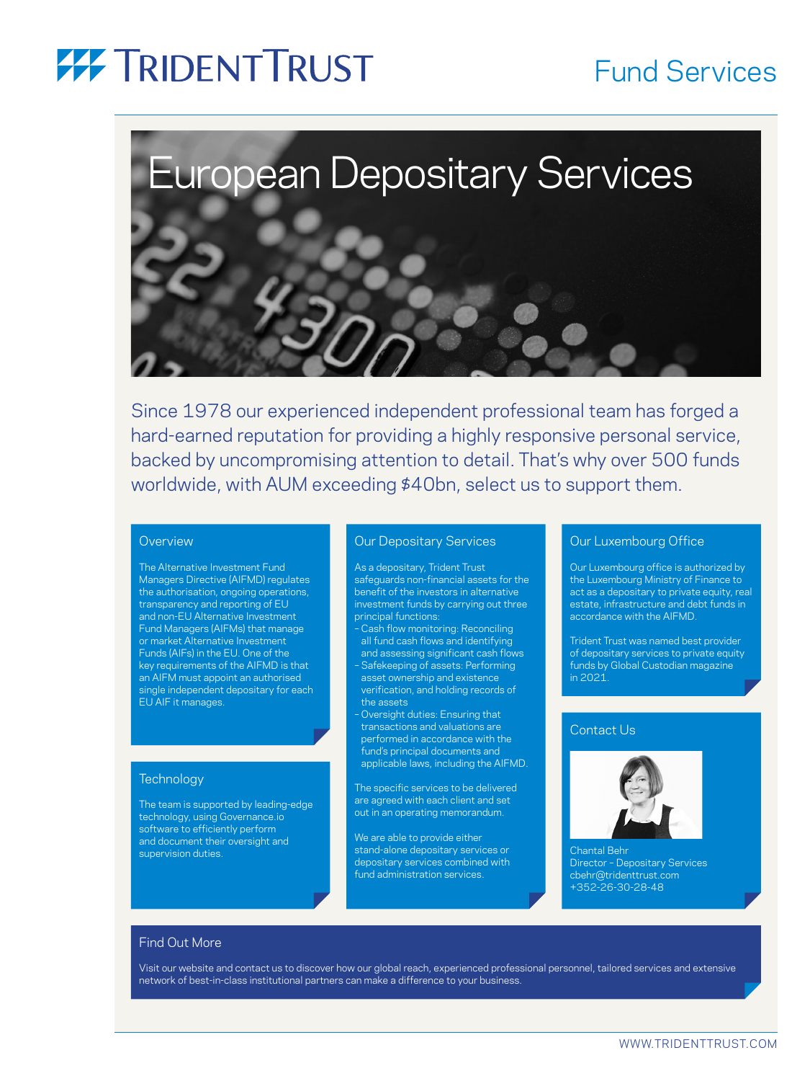### **77 TRIDENT TRUST**

### Fund Services



Since 1978 our experienced independent professional team has forged a hard-earned reputation for providing a highly responsive personal service, backed by uncompromising attention to detail. That's why over 500 funds worldwide, with AUM exceeding \$40bn, select us to support them.

#### **Overview**

The Alternative Investment Fund Managers Directive (AIFMD) regulates the authorisation, ongoing operations, transparency and reporting of EU and non-EU Alternative Investment Fund Managers (AIFMs) that manage or market Alternative Investment Funds (AIFs) in the EU. One of the key requirements of the AIFMD is that an AIFM must appoint an authorised ingle independent depositary for each EU AIF it manages.

#### **Technology**

The team is supported by leading-edge technology, using Governance.io software to efficiently perform and document their oversight and supervision duties.

#### Our Depositary Services

As a depositary, Trident Trust safeguards non-financial assets for the benefit of the investors in alternative investment funds by carrying out three principal functions:

– Cash flow monitoring: Reconciling all fund cash flows and identifying and assessing significant cash flows – Safekeeping of assets: Performing asset ownership and existence verification, and holding records of the assets

– Oversight duties: Ensuring that transactions and valuations are performed in accordance with the fund's principal documents and applicable laws, including the AIFMD.

The specific services to be delivered are agreed with each client and set out in an operating memorandum.

We are able to provide either stand-alone depositary services or depositary services combined with fund administration services.

#### Our Luxembourg Office

Our Luxembourg office is authorized by the Luxembourg Ministry of Finance to act as a depositary to private equity, real estate, infrastructure and debt funds in accordance with the AIFMD.

Trident Trust was named best provider of depositary services to private equity funds by Global Custodian magazine in 2021.

#### Contact Us



Chantal Behr Director – Depositary Services cbehr@tridenttrust.com +352-26-30-28-48

#### Find Out More

Visit our website and contact us to discover how our global reach, experienced professional personnel, tailored services and extensive network of best-in-class institutional partners can make a difference to your business.